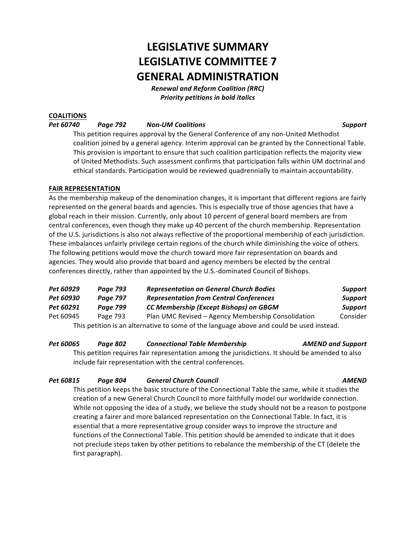# **LEGISLATIVE SUMMARY LEGISLATIVE COMMITTEE 7 GENERAL ADMINISTRATION**

*Renewal and Reform Coalition (RRC)* **Priority petitions in bold italics** 

# **COALITIONS**

## *Pet 60740 Page 792 Non-UM Coalitions Support*

This petition requires approval by the General Conference of any non-United Methodist coalition joined by a general agency. Interim approval can be granted by the Connectional Table. This provision is important to ensure that such coalition participation reflects the majority view of United Methodists. Such assessment confirms that participation falls within UM doctrinal and ethical standards. Participation would be reviewed quadrennially to maintain accountability.

# **FAIR REPRESENTATION**

As the membership makeup of the denomination changes, it is important that different regions are fairly represented on the general boards and agencies. This is especially true of those agencies that have a global reach in their mission. Currently, only about 10 percent of general board members are from central conferences, even though they make up 40 percent of the church membership. Representation of the U.S. jurisdictions is also not always reflective of the proportional membership of each jurisdiction. These imbalances unfairly privilege certain regions of the church while diminishing the voice of others. The following petitions would move the church toward more fair representation on boards and agencies. They would also provide that board and agency members be elected by the central conferences directly, rather than appointed by the U.S.-dominated Council of Bishops.

| Pet 60929 | Page 793        | <b>Representation on General Church Bodies</b>                                           | <b>Support</b> |
|-----------|-----------------|------------------------------------------------------------------------------------------|----------------|
| Pet 60930 | <b>Page 797</b> | <b>Representation from Central Conferences</b>                                           | <b>Support</b> |
| Pet 60291 | <b>Page 799</b> | CC Membership (Except Bishops) on GBGM                                                   | <b>Support</b> |
| Pet 60945 | Page 793        | Plan UMC Revised - Agency Membership Consolidation                                       | Consider       |
|           |                 | This petition is an alternative to some of the language above and could be used instead. |                |

### *Pet 60065 Page 802 Connectional Table Membership AMEND and Support*

This petition requires fair representation among the jurisdictions. It should be amended to also include fair representation with the central conferences.

# *Pet 60815 Page 804 General Church Council AMEND*

This petition keeps the basic structure of the Connectional Table the same, while it studies the creation of a new General Church Council to more faithfully model our worldwide connection. While not opposing the idea of a study, we believe the study should not be a reason to postpone creating a fairer and more balanced representation on the Connectional Table. In fact, it is essential that a more representative group consider ways to improve the structure and functions of the Connectional Table. This petition should be amended to indicate that it does not preclude steps taken by other petitions to rebalance the membership of the CT (delete the first paragraph).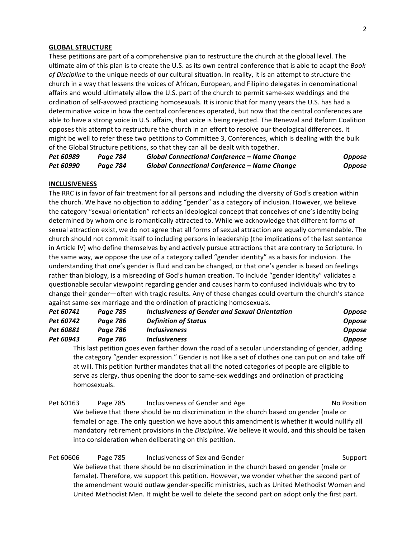#### 2

#### **GLOBAL STRUCTURE**

These petitions are part of a comprehensive plan to restructure the church at the global level. The ultimate aim of this plan is to create the U.S. as its own central conference that is able to adapt the *Book* of Discipline to the unique needs of our cultural situation. In reality, it is an attempt to structure the church in a way that lessens the voices of African, European, and Filipino delegates in denominational affairs and would ultimately allow the U.S. part of the church to permit same-sex weddings and the ordination of self-avowed practicing homosexuals. It is ironic that for many years the U.S. has had a determinative voice in how the central conferences operated, but now that the central conferences are able to have a strong voice in U.S. affairs, that voice is being rejected. The Renewal and Reform Coalition opposes this attempt to restructure the church in an effort to resolve our theological differences. It might be well to refer these two petitions to Committee 3, Conferences, which is dealing with the bulk of the Global Structure petitions, so that they can all be dealt with together.

*Pet 60989 Page 784 Global Connectional Conference – Name Change Oppose Pet 60990 Page 784 Global Connectional Conference – Name Change Oppose*

#### **INCLUSIVENESS**

The RRC is in favor of fair treatment for all persons and including the diversity of God's creation within the church. We have no objection to adding "gender" as a category of inclusion. However, we believe the category "sexual orientation" reflects an ideological concept that conceives of one's identity being determined by whom one is romantically attracted to. While we acknowledge that different forms of sexual attraction exist, we do not agree that all forms of sexual attraction are equally commendable. The church should not commit itself to including persons in leadership (the implications of the last sentence in Article IV) who define themselves by and actively pursue attractions that are contrary to Scripture. In the same way, we oppose the use of a category called "gender identity" as a basis for inclusion. The understanding that one's gender is fluid and can be changed, or that one's gender is based on feelings rather than biology, is a misreading of God's human creation. To include "gender identity" validates a questionable secular viewpoint regarding gender and causes harm to confused individuals who try to change their gender—often with tragic results. Any of these changes could overturn the church's stance against same-sex marriage and the ordination of practicing homosexuals.

| Pet 60741 | Page 785 | Inclusiveness of Gender and Sexual Orientation | <b>Oppose</b> |
|-----------|----------|------------------------------------------------|---------------|
| Pet 60742 | Page 786 | <b>Definition of Status</b>                    | <b>Oppose</b> |
| Pet 60881 | Page 786 | <b>Inclusiveness</b>                           | <b>Oppose</b> |
| Pet 60943 | Paae 786 | <b>Inclusiveness</b>                           | <b>Oppose</b> |
|           |          |                                                |               |

This last petition goes even farther down the road of a secular understanding of gender, adding the category "gender expression." Gender is not like a set of clothes one can put on and take off at will. This petition further mandates that all the noted categories of people are eligible to serve as clergy, thus opening the door to same-sex weddings and ordination of practicing homosexuals.

Pet 60163 Page 785 Inclusiveness of Gender and Age No Position We believe that there should be no discrimination in the church based on gender (male or female) or age. The only question we have about this amendment is whether it would nullify all mandatory retirement provisions in the *Discipline*. We believe it would, and this should be taken into consideration when deliberating on this petition.

Pet 60606 Page 785 Inclusiveness of Sex and Gender Support Support We believe that there should be no discrimination in the church based on gender (male or female). Therefore, we support this petition. However, we wonder whether the second part of the amendment would outlaw gender-specific ministries, such as United Methodist Women and United Methodist Men. It might be well to delete the second part on adopt only the first part.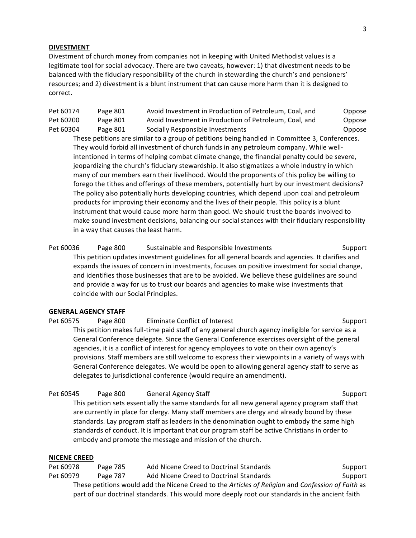### **DIVESTMENT**

Divestment of church money from companies not in keeping with United Methodist values is a legitimate tool for social advocacy. There are two caveats, however: 1) that divestment needs to be balanced with the fiduciary responsibility of the church in stewarding the church's and pensioners' resources; and 2) divestment is a blunt instrument that can cause more harm than it is designed to correct.

Pet 60174 Page 801 Avoid Investment in Production of Petroleum, Coal, and Oppose Pet 60200 Page 801 Avoid Investment in Production of Petroleum, Coal, and Oppose Pet 60304 Page 801 Socially Responsible Investments Compose Compose

These petitions are similar to a group of petitions being handled in Committee 3, Conferences. They would forbid all investment of church funds in any petroleum company. While wellintentioned in terms of helping combat climate change, the financial penalty could be severe, jeopardizing the church's fiduciary stewardship. It also stigmatizes a whole industry in which many of our members earn their livelihood. Would the proponents of this policy be willing to forego the tithes and offerings of these members, potentially hurt by our investment decisions? The policy also potentially hurts developing countries, which depend upon coal and petroleum products for improving their economy and the lives of their people. This policy is a blunt instrument that would cause more harm than good. We should trust the boards involved to make sound investment decisions, balancing our social stances with their fiduciary responsibility in a way that causes the least harm.

Pet 60036 Page 800 Sustainable and Responsible Investments Support Support This petition updates investment guidelines for all general boards and agencies. It clarifies and expands the issues of concern in investments, focuses on positive investment for social change, and identifies those businesses that are to be avoided. We believe these guidelines are sound and provide a way for us to trust our boards and agencies to make wise investments that coincide with our Social Principles.

#### **GENERAL AGENCY STAFF**

Pet 60575 Page 800 Eliminate Conflict of Interest Support Support This petition makes full-time paid staff of any general church agency ineligible for service as a General Conference delegate. Since the General Conference exercises oversight of the general agencies, it is a conflict of interest for agency employees to vote on their own agency's provisions. Staff members are still welcome to express their viewpoints in a variety of ways with General Conference delegates. We would be open to allowing general agency staff to serve as delegates to jurisdictional conference (would require an amendment).

Pet 60545 Page 800 General Agency Staff Support Support This petition sets essentially the same standards for all new general agency program staff that are currently in place for clergy. Many staff members are clergy and already bound by these standards. Lay program staff as leaders in the denomination ought to embody the same high standards of conduct. It is important that our program staff be active Christians in order to embody and promote the message and mission of the church.

#### **NICENE CREED**

Pet 60978 Page 785 Add Nicene Creed to Doctrinal Standards Support Pet 60979 Page 787 Add Nicene Creed to Doctrinal Standards Support These petitions would add the Nicene Creed to the Articles of Religion and Confession of Faith as part of our doctrinal standards. This would more deeply root our standards in the ancient faith